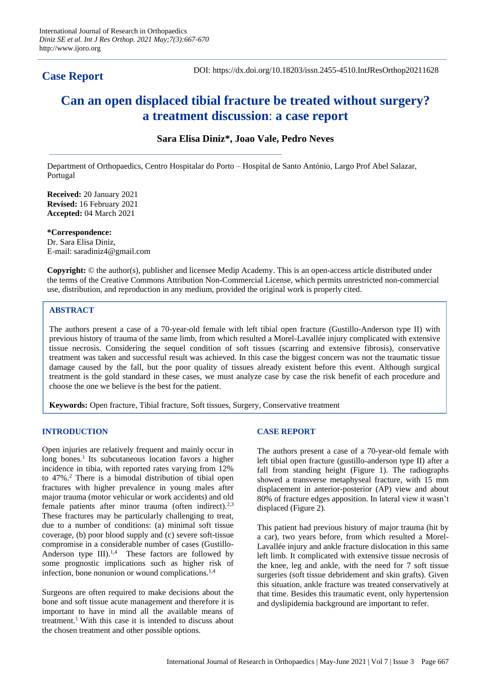# **Case Report**

DOI: https://dx.doi.org/10.18203/issn.2455-4510.IntJResOrthop20211628

# **Can an open displaced tibial fracture be treated without surgery? a treatment discussion**: **a case report**

## **Sara Elisa Diniz\*, Joao Vale, Pedro Neves**

Department of Orthopaedics, Centro Hospitalar do Porto – Hospital de Santo António, Largo Prof Abel Salazar, Portugal

**Received:** 20 January 2021 **Revised:** 16 February 2021 **Accepted:** 04 March 2021

**\*Correspondence:** Dr. Sara Elisa Diniz, E-mail: saradiniz4@gmail.com

**Copyright:** © the author(s), publisher and licensee Medip Academy. This is an open-access article distributed under the terms of the Creative Commons Attribution Non-Commercial License, which permits unrestricted non-commercial use, distribution, and reproduction in any medium, provided the original work is properly cited.

# **ABSTRACT**

The authors present a case of a 70-year-old female with left tibial open fracture (Gustillo-Anderson type II) with previous history of trauma of the same limb, from which resulted a Morel-Lavallée injury complicated with extensive tissue necrosis. Considering the sequel condition of soft tissues (scarring and extensive fibrosis), conservative treatment was taken and successful result was achieved. In this case the biggest concern was not the traumatic tissue damage caused by the fall, but the poor quality of tissues already existent before this event. Although surgical treatment is the gold standard in these cases, we must analyze case by case the risk benefit of each procedure and choose the one we believe is the best for the patient.

**Keywords:** Open fracture, Tibial fracture, Soft tissues, Surgery, Conservative treatment

### **INTRODUCTION**

Open injuries are relatively frequent and mainly occur in long bones.<sup>1</sup> Its subcutaneous location favors a higher incidence in tibia, with reported rates varying from 12% to 47%.<sup>2</sup> There is a bimodal distribution of tibial open fractures with higher prevalence in young males after major trauma (motor vehicular or work accidents) and old female patients after minor trauma (often indirect).<sup>2,3</sup> These fractures may be particularly challenging to treat, due to a number of conditions: (a) minimal soft tissue coverage, (b) poor blood supply and (c) severe soft-tissue compromise in a considerable number of cases (Gustillo-Anderson type  $III$ ).<sup>1,4</sup> These factors are followed by some prognostic implications such as higher risk of infection, bone nonunion or wound complications.<sup>1,4</sup>

Surgeons are often required to make decisions about the bone and soft tissue acute management and therefore it is important to have in mind all the available means of treatment.<sup>1</sup> With this case it is intended to discuss about the chosen treatment and other possible options.

### **CASE REPORT**

The authors present a case of a 70-year-old female with left tibial open fracture (gustillo-anderson type II) after a fall from standing height (Figure 1). The radiographs showed a transverse metaphyseal fracture, with 15 mm displacement in anterior-posterior (AP) view and about 80% of fracture edges apposition. In lateral view it wasn't displaced (Figure 2).

This patient had previous history of major trauma (hit by a car), two years before, from which resulted a Morel-Lavallée injury and ankle fracture dislocation in this same left limb. It complicated with extensive tissue necrosis of the knee, leg and ankle, with the need for 7 soft tissue surgeries (soft tissue debridement and skin grafts). Given this situation, ankle fracture was treated conservatively at that time. Besides this traumatic event, only hypertension and dyslipidemia background are important to refer.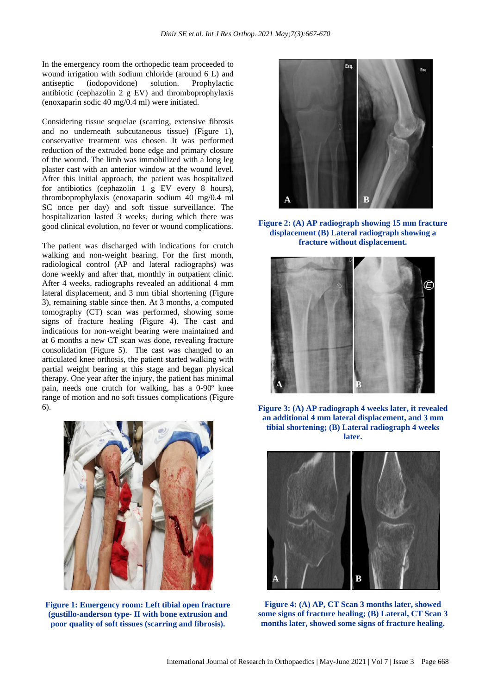In the emergency room the orthopedic team proceeded to wound irrigation with sodium chloride (around 6 L) and antiseptic (iodopovidone) solution. Prophylactic antibiotic (cephazolin 2 g EV) and thromboprophylaxis (enoxaparin sodic 40 mg/0.4 ml) were initiated.

Considering tissue sequelae (scarring, extensive fibrosis and no underneath subcutaneous tissue) (Figure 1), conservative treatment was chosen. It was performed reduction of the extruded bone edge and primary closure of the wound. The limb was immobilized with a long leg plaster cast with an anterior window at the wound level. After this initial approach, the patient was hospitalized for antibiotics (cephazolin 1 g EV every 8 hours), thromboprophylaxis (enoxaparin sodium 40 mg/0.4 ml SC once per day) and soft tissue surveillance. The hospitalization lasted 3 weeks, during which there was good clinical evolution, no fever or wound complications.

The patient was discharged with indications for crutch walking and non-weight bearing. For the first month, radiological control (AP and lateral radiographs) was done weekly and after that, monthly in outpatient clinic. After 4 weeks, radiographs revealed an additional 4 mm lateral displacement, and 3 mm tibial shortening (Figure 3), remaining stable since then. At 3 months, a computed tomography (CT) scan was performed, showing some signs of fracture healing (Figure 4). The cast and indications for non-weight bearing were maintained and at 6 months a new CT scan was done, revealing fracture consolidation (Figure 5). The cast was changed to an articulated knee orthosis, the patient started walking with partial weight bearing at this stage and began physical therapy. One year after the injury, the patient has minimal pain, needs one crutch for walking, has a 0-90º knee range of motion and no soft tissues complications (Figure 6).



**Figure 1: Emergency room: Left tibial open fracture (gustillo-anderson type- II with bone extrusion and poor quality of soft tissues (scarring and fibrosis).**



**Figure 2: (A) AP radiograph showing 15 mm fracture displacement (B) Lateral radiograph showing a fracture without displacement.**



**Figure 3: (A) AP radiograph 4 weeks later, it revealed an additional 4 mm lateral displacement, and 3 mm tibial shortening; (B) Lateral radiograph 4 weeks later.**



**Figure 4: (A) AP, CT Scan 3 months later, showed some signs of fracture healing; (B) Lateral, CT Scan 3 months later, showed some signs of fracture healing.**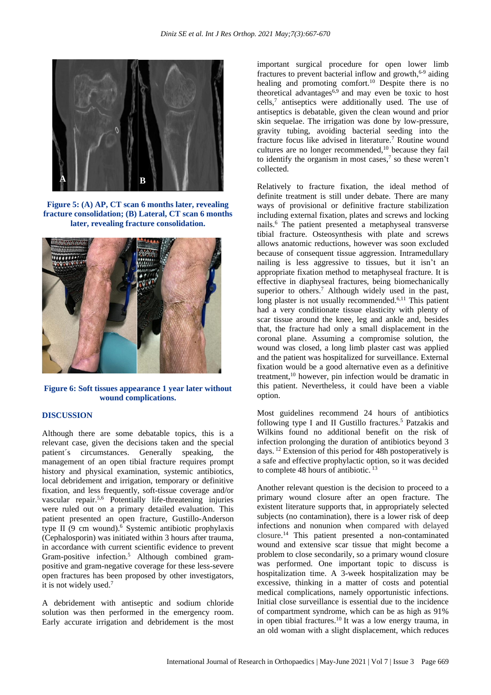

**Figure 5: (A) AP, CT scan 6 months later, revealing fracture consolidation; (B) Lateral, CT scan 6 months later, revealing fracture consolidation.**



**Figure 6: Soft tissues appearance 1 year later without wound complications.**

#### **DISCUSSION**

Although there are some debatable topics, this is a relevant case, given the decisions taken and the special patient´s circumstances. Generally speaking, the management of an open tibial fracture requires prompt history and physical examination, systemic antibiotics, local debridement and irrigation, temporary or definitive fixation, and less frequently, soft-tissue coverage and/or vascular repair.5,6 Potentially life-threatening injuries were ruled out on a primary detailed evaluation. This patient presented an open fracture, Gustillo-Anderson type II (9 cm wound). <sup>6</sup> Systemic antibiotic prophylaxis (Cephalosporin) was initiated within 3 hours after trauma, in accordance with current scientific evidence to prevent Gram-positive infection.<sup>5</sup> Although combined grampositive and gram-negative coverage for these less-severe open fractures has been proposed by other investigators, it is not widely used. 7

A debridement with antiseptic and sodium chloride solution was then performed in the emergency room. Early accurate irrigation and debridement is the most important surgical procedure for open lower limb fractures to prevent bacterial inflow and growth,<sup>6-9</sup> aiding healing and promoting comfort.<sup>10</sup> Despite there is no theoretical advantages<sup>6,9</sup> and may even be toxic to host cells, 7 antiseptics were additionally used. The use of antiseptics is debatable, given the clean wound and prior skin sequelae. The irrigation was done by low-pressure, gravity tubing, avoiding bacterial seeding into the fracture focus like advised in literature.<sup>7</sup> Routine wound cultures are no longer recommended,<sup>10</sup> because they fail to identify the organism in most cases, $7$  so these weren't collected.

Relatively to fracture fixation, the ideal method of definite treatment is still under debate. There are many ways of provisional or definitive fracture stabilization including external fixation, plates and screws and locking nails.<sup>6</sup> The patient presented a metaphyseal transverse tibial fracture. Osteosynthesis with plate and screws allows anatomic reductions, however was soon excluded because of consequent tissue aggression. Intramedullary nailing is less aggressive to tissues, but it isn't an appropriate fixation method to metaphyseal fracture. It is effective in diaphyseal fractures, being biomechanically superior to others. <sup>7</sup> Although widely used in the past, long plaster is not usually recommended.<sup>6,11</sup> This patient had a very conditionate tissue elasticity with plenty of scar tissue around the knee, leg and ankle and, besides that, the fracture had only a small displacement in the coronal plane. Assuming a compromise solution, the wound was closed, a long limb plaster cast was applied and the patient was hospitalized for surveillance. External fixation would be a good alternative even as a definitive treatment, <sup>10</sup> however, pin infection would be dramatic in this patient. Nevertheless, it could have been a viable option.

Most guidelines recommend 24 hours of antibiotics following type I and II Gustillo fractures.<sup>5</sup> Patzakis and Wilkins found no additional benefit on the risk of infection prolonging the duration of antibiotics beyond 3 days. <sup>12</sup> Extension of this period for 48h postoperatively is a safe and effective prophylactic option, so it was decided to complete 48 hours of antibiotic. <sup>13</sup>

Another relevant question is the decision to proceed to a primary wound closure after an open fracture. The existent literature supports that, in appropriately selected subjects (no contamination), there is a lower risk of deep infections and nonunion when compared with delayed closure. <sup>14</sup>This patient presented a non-contaminated wound and extensive scar tissue that might become a problem to close secondarily, so a primary wound closure was performed. One important topic to discuss is hospitalization time. A 3-week hospitalization may be excessive, thinking in a matter of costs and potential medical complications, namely opportunistic infections. Initial close surveillance is essential due to the incidence of compartment syndrome, which can be as high as 91% in open tibial fractures.<sup>10</sup> It was a low energy trauma, in an old woman with a slight displacement, which reduces